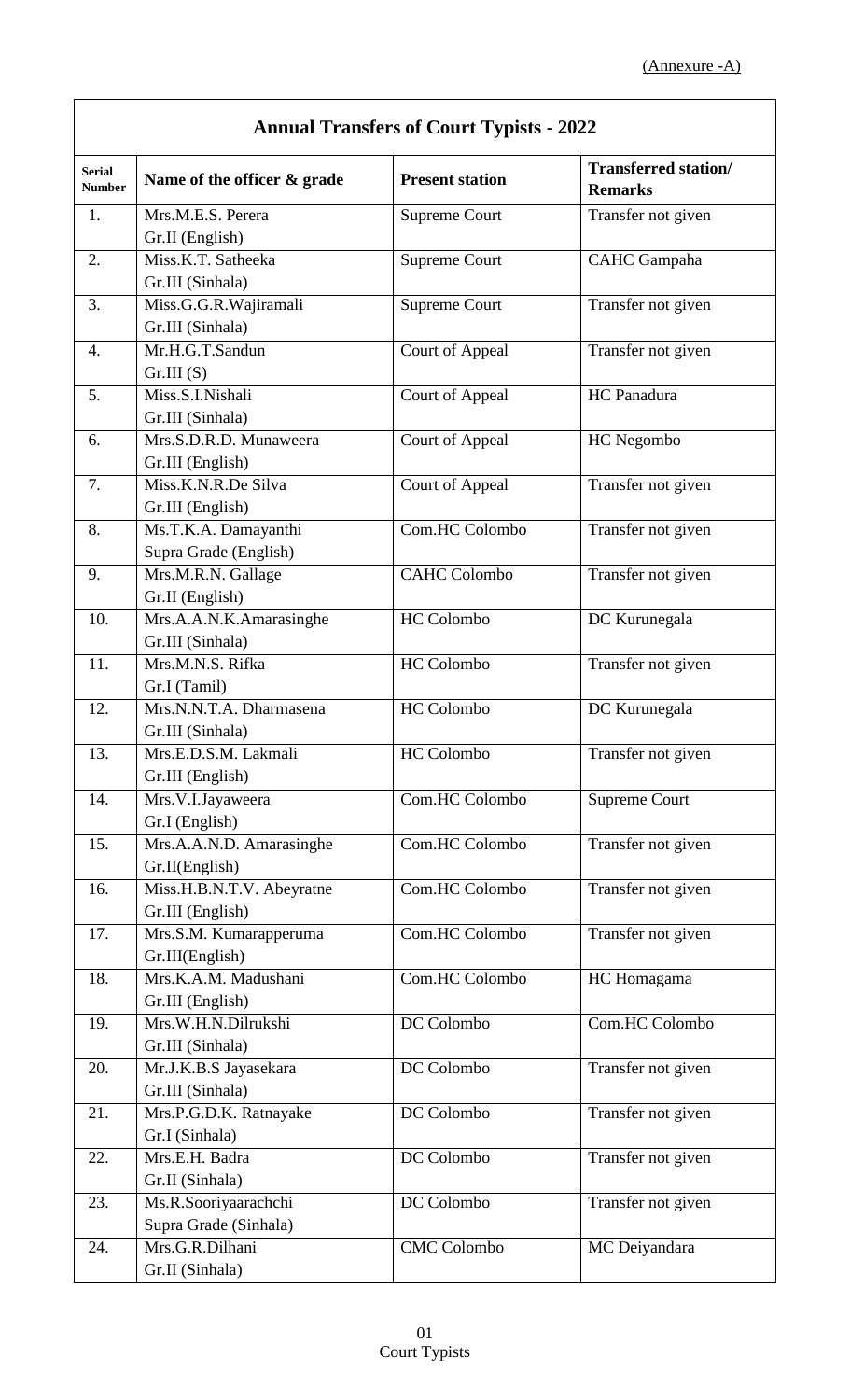| <b>Annual Transfers of Court Typists - 2022</b> |                                          |                        |                                               |
|-------------------------------------------------|------------------------------------------|------------------------|-----------------------------------------------|
| <b>Serial</b><br><b>Number</b>                  | Name of the officer & grade              | <b>Present station</b> | <b>Transferred station/</b><br><b>Remarks</b> |
| 1.                                              | Mrs.M.E.S. Perera                        | <b>Supreme Court</b>   | Transfer not given                            |
|                                                 | Gr.II (English)                          |                        |                                               |
| 2.                                              | Miss.K.T. Satheeka                       | Supreme Court          | <b>CAHC</b> Gampaha                           |
|                                                 | Gr.III (Sinhala)                         |                        |                                               |
| 3.                                              | Miss.G.G.R.Wajiramali                    | <b>Supreme Court</b>   | Transfer not given                            |
|                                                 | Gr.III (Sinhala)                         |                        |                                               |
| 4.                                              | Mr.H.G.T.Sandun                          | <b>Court of Appeal</b> | Transfer not given                            |
|                                                 | Gr.III(S)                                |                        |                                               |
| 5.                                              | Miss.S.I.Nishali                         | Court of Appeal        | HC Panadura                                   |
|                                                 | Gr.III (Sinhala)                         |                        |                                               |
| 6.                                              | Mrs.S.D.R.D. Munaweera                   | <b>Court of Appeal</b> | HC Negombo                                    |
|                                                 | Gr.III (English)                         |                        |                                               |
| 7.                                              | Miss.K.N.R.De Silva                      | <b>Court of Appeal</b> | Transfer not given                            |
|                                                 | Gr.III (English)                         |                        |                                               |
| 8.                                              | Ms.T.K.A. Damayanthi                     | Com.HC Colombo         | Transfer not given                            |
|                                                 | Supra Grade (English)                    |                        |                                               |
| 9.                                              | Mrs.M.R.N. Gallage                       | <b>CAHC Colombo</b>    | Transfer not given                            |
|                                                 | Gr.II (English)                          |                        |                                               |
| 10.                                             | Mrs.A.A.N.K.Amarasinghe                  | HC Colombo             | DC Kurunegala                                 |
|                                                 | Gr.III (Sinhala)                         |                        |                                               |
| 11.                                             | Mrs.M.N.S. Rifka                         | <b>HC</b> Colombo      | Transfer not given                            |
|                                                 | Gr.I (Tamil)                             |                        |                                               |
| 12.                                             | Mrs.N.N.T.A. Dharmasena                  | <b>HC</b> Colombo      | DC Kurunegala                                 |
|                                                 | Gr.III (Sinhala)                         |                        |                                               |
| 13.                                             | Mrs.E.D.S.M. Lakmali                     | <b>HC</b> Colombo      | Transfer not given                            |
|                                                 | Gr.III (English)                         |                        |                                               |
| 14.                                             | Mrs.V.I.Jayaweera                        | Com.HC Colombo         | <b>Supreme Court</b>                          |
|                                                 | Gr.I (English)                           |                        |                                               |
| 15.                                             | Mrs.A.A.N.D. Amarasinghe                 | Com.HC Colombo         | Transfer not given                            |
|                                                 | Gr.II(English)                           |                        |                                               |
| 16.                                             | Miss.H.B.N.T.V. Abeyratne                | Com.HC Colombo         | Transfer not given                            |
|                                                 | Gr.III (English)                         |                        |                                               |
| 17.                                             | Mrs.S.M. Kumarapperuma                   | Com.HC Colombo         | Transfer not given                            |
|                                                 | Gr.III(English)                          |                        |                                               |
| 18.                                             | Mrs.K.A.M. Madushani                     | Com.HC Colombo         | HC Homagama                                   |
|                                                 | Gr.III (English)                         |                        |                                               |
| 19.                                             | Mrs.W.H.N.Dilrukshi                      | DC Colombo             | Com.HC Colombo                                |
|                                                 | Gr.III (Sinhala)                         |                        |                                               |
| 20.                                             | Mr.J.K.B.S Jayasekara                    | DC Colombo             | Transfer not given                            |
|                                                 | Gr.III (Sinhala)                         |                        |                                               |
| 21.                                             | Mrs.P.G.D.K. Ratnayake                   | DC Colombo             | Transfer not given                            |
|                                                 | Gr.I (Sinhala)                           |                        |                                               |
| 22.                                             | Mrs.E.H. Badra                           | DC Colombo             | Transfer not given                            |
|                                                 | Gr.II (Sinhala)                          |                        |                                               |
| 23.                                             | Ms.R.Sooriyaarachchi                     | DC Colombo             |                                               |
|                                                 |                                          |                        | Transfer not given                            |
| 24.                                             | Supra Grade (Sinhala)<br>Mrs.G.R.Dilhani | <b>CMC</b> Colombo     |                                               |
|                                                 |                                          |                        | MC Deiyandara                                 |
|                                                 | Gr.II (Sinhala)                          |                        |                                               |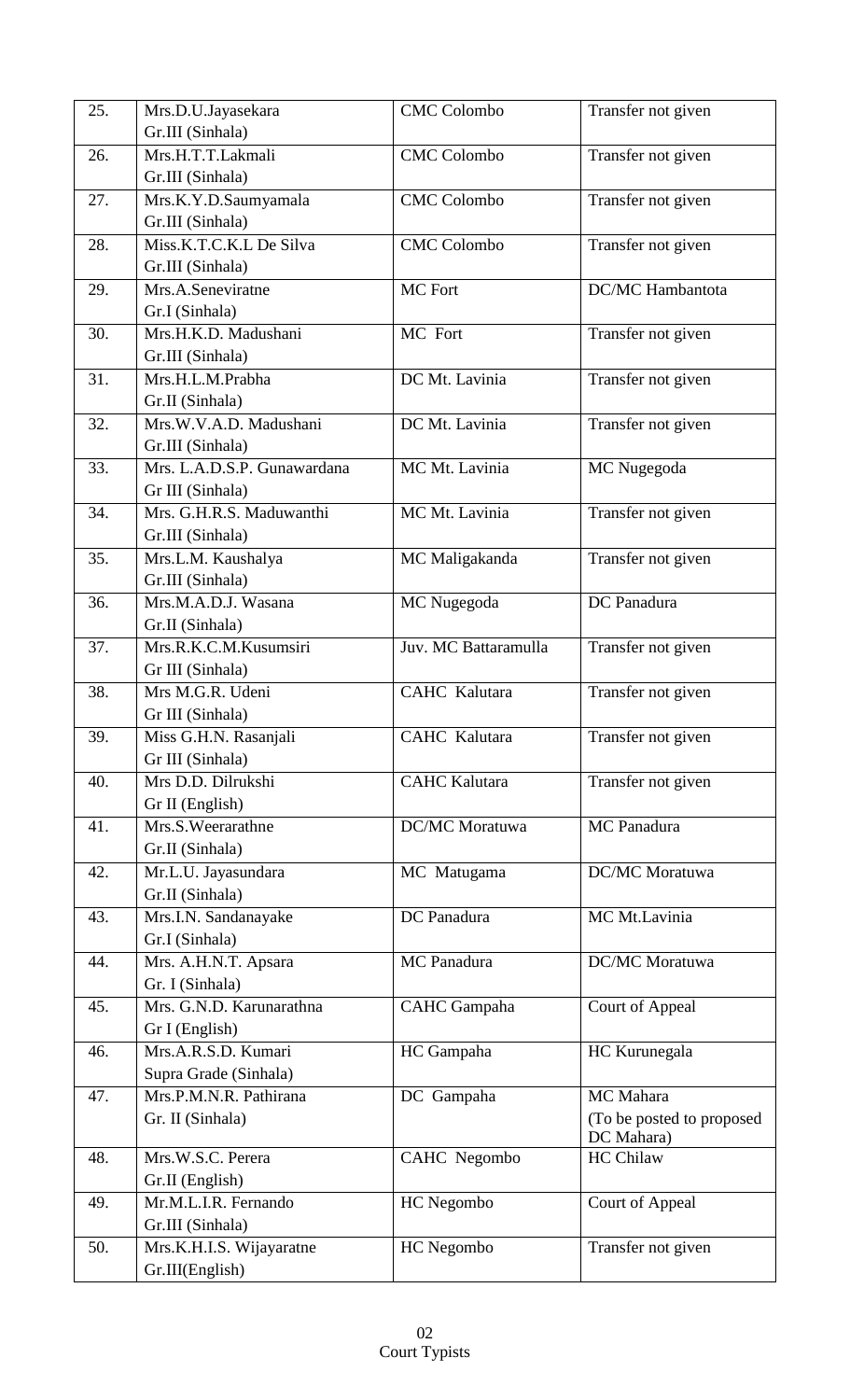| 25. | Mrs.D.U.Jayasekara                              | <b>CMC Colombo</b>   | Transfer not given                      |
|-----|-------------------------------------------------|----------------------|-----------------------------------------|
|     | Gr.III (Sinhala)                                |                      |                                         |
| 26. | Mrs.H.T.T.Lakmali<br>Gr.III (Sinhala)           | <b>CMC</b> Colombo   | Transfer not given                      |
| 27. | Mrs.K.Y.D.Saumyamala<br>Gr.III (Sinhala)        | <b>CMC</b> Colombo   | Transfer not given                      |
| 28. | Miss.K.T.C.K.L De Silva                         | <b>CMC</b> Colombo   | Transfer not given                      |
|     | Gr.III (Sinhala)                                |                      |                                         |
| 29. | Mrs.A.Seneviratne                               | MC Fort              | DC/MC Hambantota                        |
|     | Gr.I (Sinhala)                                  |                      |                                         |
| 30. | Mrs.H.K.D. Madushani                            | MC Fort              | Transfer not given                      |
|     | Gr.III (Sinhala)                                |                      |                                         |
| 31. | Mrs.H.L.M.Prabha                                | DC Mt. Lavinia       | Transfer not given                      |
|     | Gr.II (Sinhala)                                 |                      |                                         |
| 32. | Mrs.W.V.A.D. Madushani                          | DC Mt. Lavinia       | Transfer not given                      |
|     | Gr.III (Sinhala)                                |                      |                                         |
| 33. | Mrs. L.A.D.S.P. Gunawardana                     | MC Mt. Lavinia       | MC Nugegoda                             |
|     | Gr III (Sinhala)                                |                      |                                         |
| 34. | Mrs. G.H.R.S. Maduwanthi                        | MC Mt. Lavinia       | Transfer not given                      |
|     | Gr.III (Sinhala)                                |                      |                                         |
| 35. | Mrs.L.M. Kaushalya                              | MC Maligakanda       | Transfer not given                      |
|     | Gr.III (Sinhala)                                |                      |                                         |
| 36. | Mrs.M.A.D.J. Wasana                             | MC Nugegoda          | DC Panadura                             |
|     | Gr.II (Sinhala)                                 |                      |                                         |
| 37. | Mrs.R.K.C.M.Kusumsiri                           | Juv. MC Battaramulla | Transfer not given                      |
|     | Gr III (Sinhala)                                |                      |                                         |
| 38. | Mrs M.G.R. Udeni                                | CAHC Kalutara        | Transfer not given                      |
|     | Gr III (Sinhala)                                |                      |                                         |
| 39. | Miss G.H.N. Rasanjali                           | CAHC Kalutara        | Transfer not given                      |
|     | Gr III (Sinhala)                                |                      |                                         |
| 40. | Mrs D.D. Dilrukshi                              | <b>CAHC</b> Kalutara | Transfer not given                      |
|     | Gr II (English)                                 |                      |                                         |
| 41. | Mrs.S.Weerarathne                               | DC/MC Moratuwa       | MC Panadura                             |
|     | Gr.II (Sinhala)                                 |                      |                                         |
| 42. | Mr.L.U. Jayasundara                             | MC Matugama          | <b>DC/MC</b> Moratuwa                   |
|     | Gr.II (Sinhala)                                 |                      |                                         |
| 43. | Mrs.I.N. Sandanayake                            | DC Panadura          | MC Mt.Lavinia                           |
|     | Gr.I (Sinhala)                                  |                      |                                         |
| 44. | Mrs. A.H.N.T. Apsara                            | MC Panadura          | DC/MC Moratuwa                          |
|     | Gr. I (Sinhala)                                 |                      |                                         |
| 45. | Mrs. G.N.D. Karunarathna                        | <b>CAHC</b> Gampaha  | Court of Appeal                         |
|     | Gr I (English)                                  |                      |                                         |
| 46. | Mrs.A.R.S.D. Kumari                             | HC Gampaha           | HC Kurunegala                           |
|     | Supra Grade (Sinhala)<br>Mrs.P.M.N.R. Pathirana |                      |                                         |
| 47. |                                                 | DC Gampaha           | MC Mahara                               |
|     | Gr. II (Sinhala)                                |                      | (To be posted to proposed<br>DC Mahara) |
| 48. | Mrs.W.S.C. Perera                               | CAHC Negombo         | HC Chilaw                               |
|     | Gr.II (English)                                 |                      |                                         |
| 49. | Mr.M.L.I.R. Fernando                            | HC Negombo           | Court of Appeal                         |
|     | Gr.III (Sinhala)                                |                      |                                         |
| 50. | Mrs.K.H.I.S. Wijayaratne                        | HC Negombo           | Transfer not given                      |
|     | Gr.III(English)                                 |                      |                                         |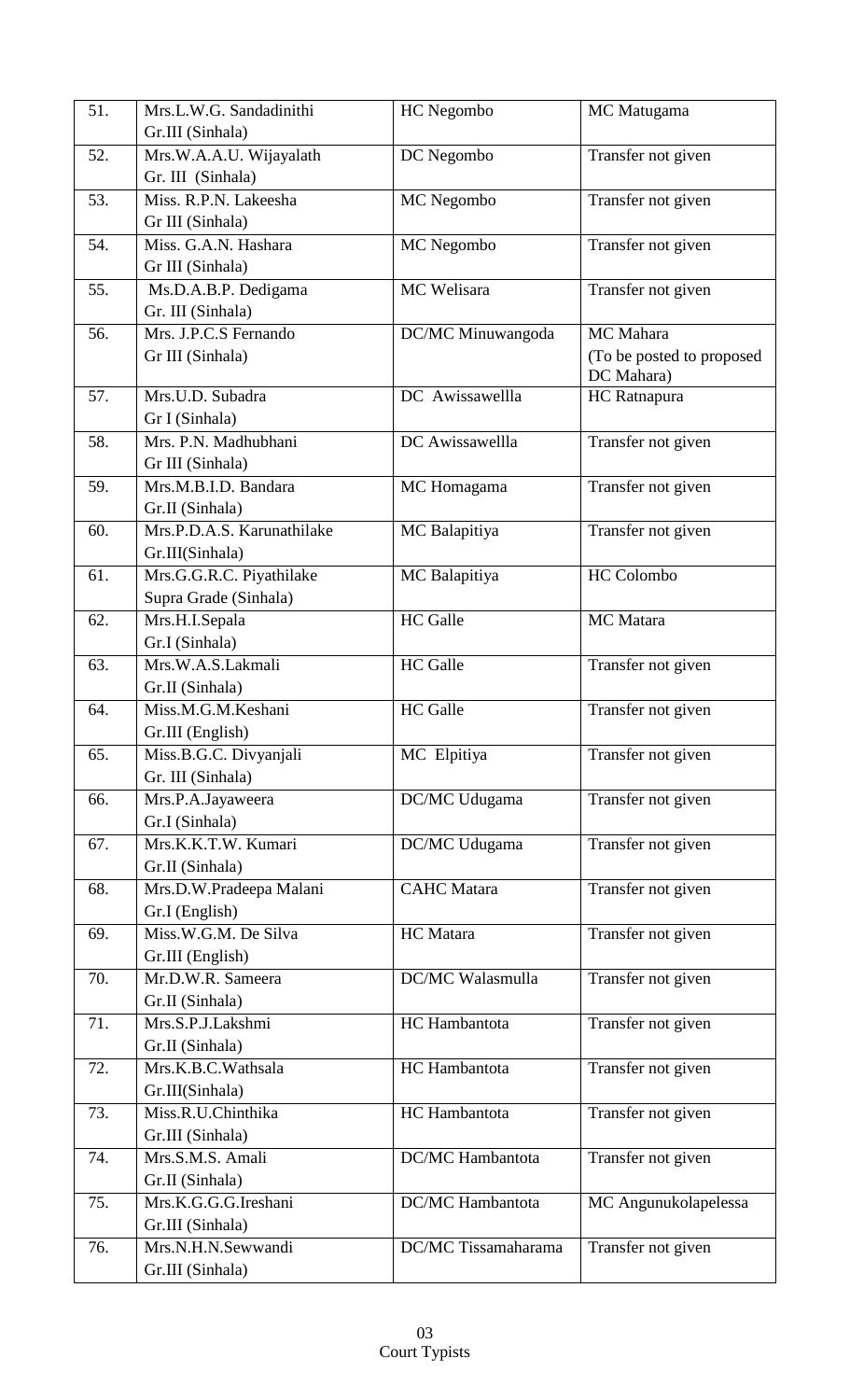| 51. | Mrs.L.W.G. Sandadinithi                | HC Negombo              | MC Matugama                             |
|-----|----------------------------------------|-------------------------|-----------------------------------------|
|     | Gr.III (Sinhala)                       |                         |                                         |
| 52. | Mrs.W.A.A.U. Wijayalath                | DC Negombo              | Transfer not given                      |
|     | Gr. III (Sinhala)                      |                         |                                         |
| 53. | Miss. R.P.N. Lakeesha                  | MC Negombo              | Transfer not given                      |
|     | Gr III (Sinhala)                       |                         |                                         |
| 54. | Miss. G.A.N. Hashara                   | MC Negombo              | Transfer not given                      |
|     | Gr III (Sinhala)                       |                         |                                         |
| 55. | Ms.D.A.B.P. Dedigama                   | MC Welisara             | Transfer not given                      |
|     | Gr. III (Sinhala)                      |                         |                                         |
| 56. | Mrs. J.P.C.S Fernando                  | DC/MC Minuwangoda       | MC Mahara                               |
|     | Gr III (Sinhala)                       |                         | (To be posted to proposed<br>DC Mahara) |
| 57. | Mrs.U.D. Subadra                       | DC Awissawellla         | HC Ratnapura                            |
|     | Gr I (Sinhala)                         |                         |                                         |
| 58. | Mrs. P.N. Madhubhani                   | DC Awissawellla         | Transfer not given                      |
|     | Gr III (Sinhala)                       |                         |                                         |
| 59. | Mrs.M.B.I.D. Bandara                   | MC Homagama             | Transfer not given                      |
|     | Gr.II (Sinhala)                        |                         |                                         |
| 60. | Mrs.P.D.A.S. Karunathilake             | MC Balapitiya           | Transfer not given                      |
|     | Gr.III(Sinhala)                        |                         |                                         |
| 61. | Mrs.G.G.R.C. Piyathilake               | MC Balapitiya           | HC Colombo                              |
|     | Supra Grade (Sinhala)                  |                         |                                         |
| 62. | Mrs.H.I.Sepala                         | <b>HC</b> Galle         | MC Matara                               |
|     | Gr.I (Sinhala)                         |                         |                                         |
| 63. | Mrs.W.A.S.Lakmali                      | <b>HC</b> Galle         | Transfer not given                      |
|     | Gr.II (Sinhala)                        |                         |                                         |
| 64. | Miss.M.G.M.Keshani                     | <b>HC</b> Galle         | Transfer not given                      |
|     | Gr.III (English)                       |                         |                                         |
| 65. | Miss.B.G.C. Divyanjali                 | MC Elpitiya             | Transfer not given                      |
| 66. | Gr. III (Sinhala)<br>Mrs.P.A.Jayaweera | DC/MC Udugama           | Transfer not given                      |
|     | Gr.I (Sinhala)                         |                         |                                         |
| 67. | Mrs.K.K.T.W. Kumari                    | DC/MC Udugama           | Transfer not given                      |
|     | Gr.II (Sinhala)                        |                         |                                         |
| 68. | Mrs.D.W.Pradeepa Malani                | <b>CAHC</b> Matara      | Transfer not given                      |
|     | Gr.I (English)                         |                         |                                         |
| 69. | Miss.W.G.M. De Silva                   | HC Matara               | Transfer not given                      |
|     | Gr.III (English)                       |                         |                                         |
| 70. | Mr.D.W.R. Sameera                      | DC/MC Walasmulla        | Transfer not given                      |
|     | Gr.II (Sinhala)                        |                         |                                         |
| 71. | Mrs.S.P.J.Lakshmi                      | HC Hambantota           | Transfer not given                      |
|     | Gr.II (Sinhala)                        |                         |                                         |
| 72. | Mrs.K.B.C.Wathsala                     | HC Hambantota           | Transfer not given                      |
|     | Gr.III(Sinhala)                        |                         |                                         |
| 73. | Miss.R.U.Chinthika                     | HC Hambantota           | Transfer not given                      |
| 74. | Gr.III (Sinhala)<br>Mrs.S.M.S. Amali   | <b>DC/MC</b> Hambantota | Transfer not given                      |
|     | Gr.II (Sinhala)                        |                         |                                         |
| 75. | Mrs.K.G.G.G.Ireshani                   | <b>DC/MC</b> Hambantota | MC Angunukolapelessa                    |
|     | Gr.III (Sinhala)                       |                         |                                         |
| 76. | Mrs.N.H.N.Sewwandi                     | DC/MC Tissamaharama     | Transfer not given                      |
|     | Gr.III (Sinhala)                       |                         |                                         |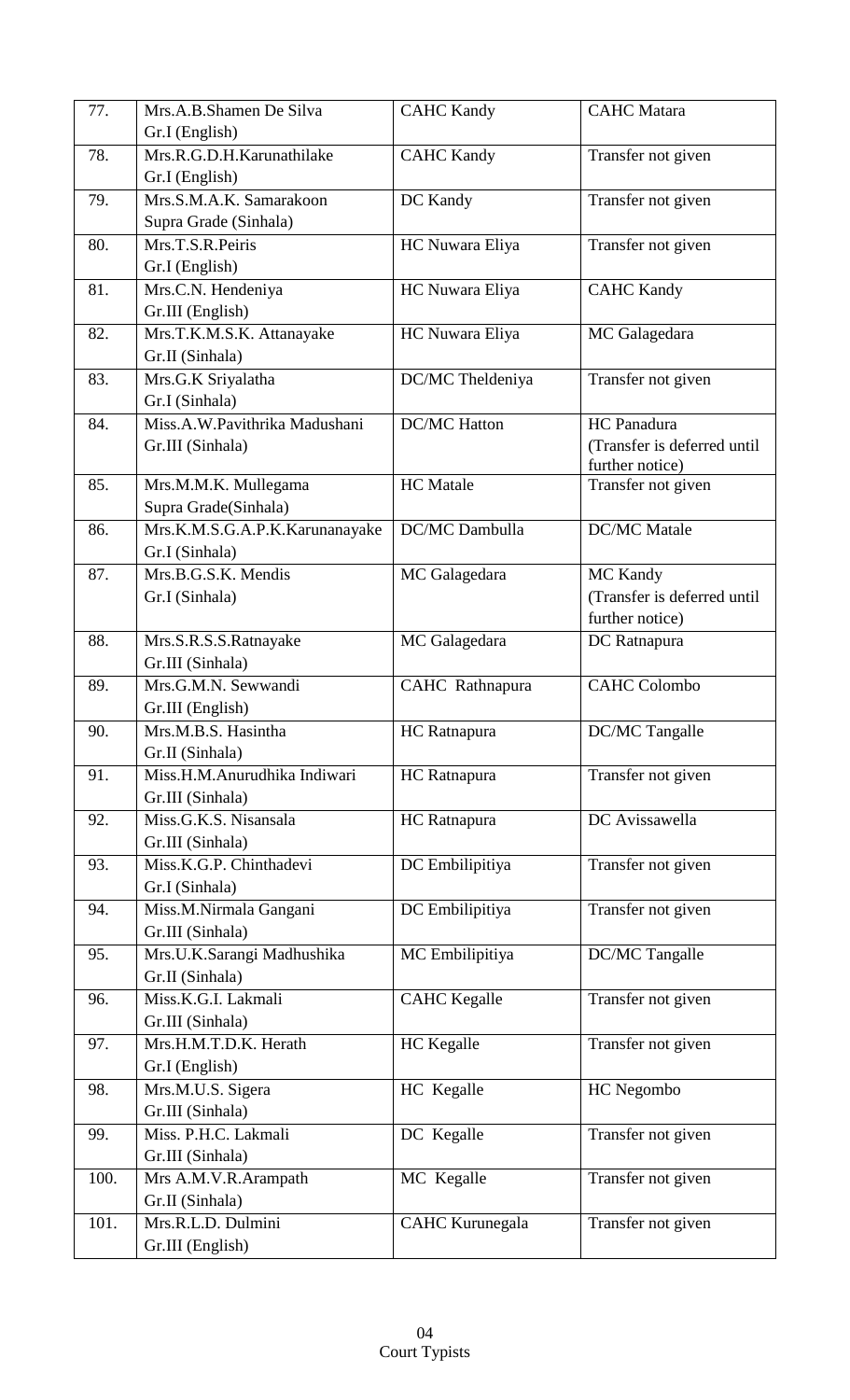| 77.  | Mrs.A.B.Shamen De Silva        | <b>CAHC Kandy</b>      | <b>CAHC</b> Matara          |
|------|--------------------------------|------------------------|-----------------------------|
|      | Gr.I (English)                 |                        |                             |
| 78.  | Mrs.R.G.D.H.Karunathilake      | <b>CAHC Kandy</b>      | Transfer not given          |
|      | Gr.I (English)                 |                        |                             |
| 79.  | Mrs.S.M.A.K. Samarakoon        | DC Kandy               | Transfer not given          |
|      | Supra Grade (Sinhala)          |                        |                             |
| 80.  | Mrs.T.S.R.Peiris               | HC Nuwara Eliya        | Transfer not given          |
|      | Gr.I (English)                 |                        |                             |
| 81.  | Mrs.C.N. Hendeniya             | HC Nuwara Eliya        | <b>CAHC Kandy</b>           |
|      | Gr.III (English)               |                        |                             |
| 82.  | Mrs.T.K.M.S.K. Attanayake      | HC Nuwara Eliya        | MC Galagedara               |
|      | Gr.II (Sinhala)                |                        |                             |
| 83.  | Mrs.G.K Sriyalatha             | DC/MC Theldeniya       | Transfer not given          |
|      | Gr.I (Sinhala)                 |                        |                             |
| 84.  | Miss.A.W.Pavithrika Madushani  | <b>DC/MC</b> Hatton    | HC Panadura                 |
|      | Gr.III (Sinhala)               |                        | (Transfer is deferred until |
|      |                                |                        | further notice)             |
| 85.  | Mrs.M.M.K. Mullegama           | <b>HC</b> Matale       | Transfer not given          |
|      | Supra Grade(Sinhala)           |                        |                             |
| 86.  | Mrs.K.M.S.G.A.P.K.Karunanayake | DC/MC Dambulla         | <b>DC/MC</b> Matale         |
|      | Gr.I (Sinhala)                 |                        |                             |
| 87.  | Mrs.B.G.S.K. Mendis            | MC Galagedara          | MC Kandy                    |
|      | Gr.I (Sinhala)                 |                        | (Transfer is deferred until |
|      |                                |                        | further notice)             |
| 88.  | Mrs.S.R.S.S.Ratnayake          | MC Galagedara          | DC Ratnapura                |
|      | Gr.III (Sinhala)               |                        |                             |
| 89.  | Mrs.G.M.N. Sewwandi            | CAHC Rathnapura        | <b>CAHC Colombo</b>         |
|      | Gr.III (English)               |                        |                             |
| 90.  | Mrs.M.B.S. Hasintha            | HC Ratnapura           | DC/MC Tangalle              |
|      | Gr.II (Sinhala)                |                        |                             |
| 91.  | Miss.H.M.Anurudhika Indiwari   | HC Ratnapura           | Transfer not given          |
|      | Gr.III (Sinhala)               |                        |                             |
| 92.  | Miss.G.K.S. Nisansala          | HC Ratnapura           | DC Avissawella              |
|      | Gr.III (Sinhala)               |                        |                             |
| 93.  | Miss.K.G.P. Chinthadevi        | DC Embilipitiya        | Transfer not given          |
|      | Gr.I (Sinhala)                 |                        |                             |
| 94.  | Miss.M.Nirmala Gangani         | DC Embilipitiya        | Transfer not given          |
|      | Gr.III (Sinhala)               |                        |                             |
| 95.  | Mrs.U.K.Sarangi Madhushika     | MC Embilipitiya        | DC/MC Tangalle              |
|      | Gr.II (Sinhala)                |                        |                             |
| 96.  | Miss.K.G.I. Lakmali            | <b>CAHC</b> Kegalle    | Transfer not given          |
|      | Gr.III (Sinhala)               |                        |                             |
| 97.  | Mrs.H.M.T.D.K. Herath          | HC Kegalle             | Transfer not given          |
|      | Gr.I (English)                 |                        |                             |
| 98.  | Mrs.M.U.S. Sigera              | HC Kegalle             | HC Negombo                  |
|      | Gr.III (Sinhala)               |                        |                             |
| 99.  | Miss. P.H.C. Lakmali           | DC Kegalle             | Transfer not given          |
|      | Gr.III (Sinhala)               |                        |                             |
| 100. | Mrs A.M.V.R.Arampath           | MC Kegalle             | Transfer not given          |
|      | Gr.II (Sinhala)                |                        |                             |
| 101. | Mrs.R.L.D. Dulmini             | <b>CAHC Kurunegala</b> | Transfer not given          |
|      | Gr.III (English)               |                        |                             |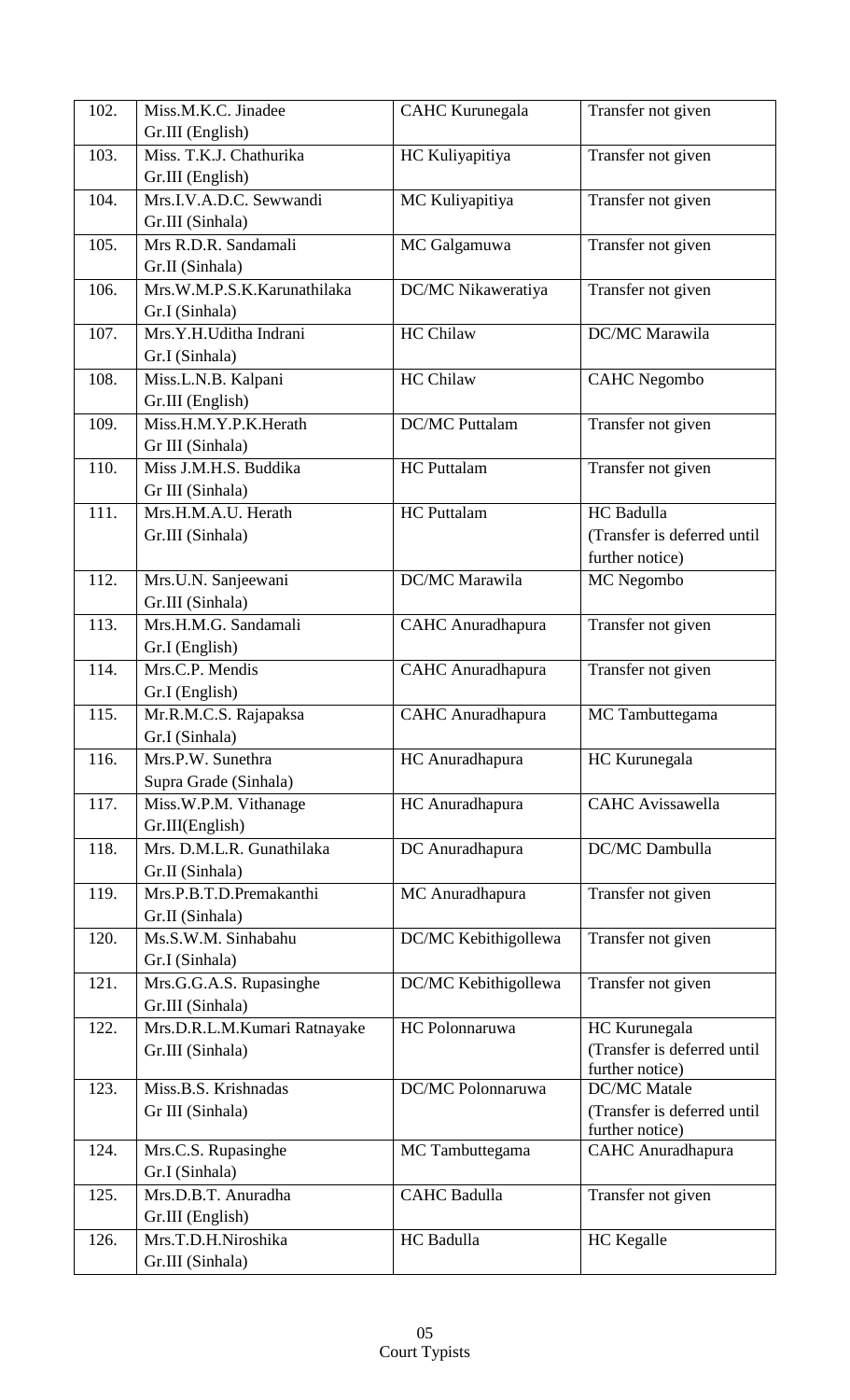| 102. | Miss.M.K.C. Jinadee                       | <b>CAHC Kurunegala</b>   | Transfer not given          |
|------|-------------------------------------------|--------------------------|-----------------------------|
|      | Gr.III (English)                          |                          |                             |
| 103. | Miss. T.K.J. Chathurika                   | HC Kuliyapitiya          | Transfer not given          |
|      | Gr.III (English)                          |                          |                             |
| 104. | Mrs.I.V.A.D.C. Sewwandi                   | MC Kuliyapitiya          | Transfer not given          |
|      | Gr.III (Sinhala)                          |                          |                             |
| 105. | Mrs R.D.R. Sandamali                      | MC Galgamuwa             | Transfer not given          |
|      | Gr.II (Sinhala)                           |                          |                             |
| 106. | Mrs.W.M.P.S.K.Karunathilaka               | DC/MC Nikaweratiya       | Transfer not given          |
|      | Gr.I (Sinhala)                            |                          |                             |
| 107. | Mrs.Y.H.Uditha Indrani                    | <b>HC Chilaw</b>         | DC/MC Marawila              |
|      | Gr.I (Sinhala)                            |                          |                             |
| 108. | Miss.L.N.B. Kalpani                       | <b>HC Chilaw</b>         | <b>CAHC</b> Negombo         |
|      | Gr.III (English)                          |                          |                             |
| 109. | Miss.H.M.Y.P.K.Herath                     | <b>DC/MC Puttalam</b>    | Transfer not given          |
|      | Gr III (Sinhala)                          |                          |                             |
| 110. | Miss J.M.H.S. Buddika                     | <b>HC</b> Puttalam       | Transfer not given          |
|      | Gr III (Sinhala)                          |                          |                             |
| 111. | Mrs.H.M.A.U. Herath                       | <b>HC</b> Puttalam       | HC Badulla                  |
|      | Gr.III (Sinhala)                          |                          | (Transfer is deferred until |
|      |                                           |                          | further notice)             |
| 112. | Mrs.U.N. Sanjeewani                       | DC/MC Marawila           | MC Negombo                  |
|      | Gr.III (Sinhala)                          |                          |                             |
| 113. | Mrs.H.M.G. Sandamali                      | <b>CAHC</b> Anuradhapura | Transfer not given          |
|      | Gr.I (English)                            |                          |                             |
| 114. | Mrs.C.P. Mendis                           | <b>CAHC</b> Anuradhapura | Transfer not given          |
|      | Gr.I (English)                            |                          |                             |
| 115. | Mr.R.M.C.S. Rajapaksa                     | <b>CAHC</b> Anuradhapura | MC Tambuttegama             |
|      | Gr.I (Sinhala)                            |                          |                             |
| 116. | Mrs.P.W. Sunethra                         | HC Anuradhapura          | HC Kurunegala               |
|      | Supra Grade (Sinhala)                     |                          |                             |
| 117. | Miss.W.P.M. Vithanage                     | HC Anuradhapura          | <b>CAHC</b> Avissawella     |
|      | Gr.III(English)                           |                          |                             |
| 118. | Mrs. D.M.L.R. Gunathilaka                 | DC Anuradhapura          | DC/MC Dambulla              |
|      | Gr.II (Sinhala)                           |                          |                             |
| 119. | Mrs.P.B.T.D.Premakanthi                   | MC Anuradhapura          | Transfer not given          |
| 120. | Gr.II (Sinhala)<br>Ms.S.W.M. Sinhabahu    |                          |                             |
|      |                                           | DC/MC Kebithigollewa     | Transfer not given          |
| 121. | Gr.I (Sinhala)<br>Mrs.G.G.A.S. Rupasinghe | DC/MC Kebithigollewa     | Transfer not given          |
|      | Gr.III (Sinhala)                          |                          |                             |
| 122. | Mrs.D.R.L.M.Kumari Ratnayake              | HC Polonnaruwa           | HC Kurunegala               |
|      | Gr.III (Sinhala)                          |                          | (Transfer is deferred until |
|      |                                           |                          | further notice)             |
| 123. | Miss.B.S. Krishnadas                      | DC/MC Polonnaruwa        | <b>DC/MC</b> Matale         |
|      | Gr III (Sinhala)                          |                          | (Transfer is deferred until |
|      |                                           |                          | further notice)             |
| 124. | Mrs.C.S. Rupasinghe                       | MC Tambuttegama          | <b>CAHC</b> Anuradhapura    |
|      | Gr.I (Sinhala)                            |                          |                             |
| 125. | Mrs.D.B.T. Anuradha                       | <b>CAHC Badulla</b>      | Transfer not given          |
|      | Gr.III (English)                          |                          |                             |
| 126. | Mrs.T.D.H.Niroshika                       | HC Badulla               | HC Kegalle                  |
|      | Gr.III (Sinhala)                          |                          |                             |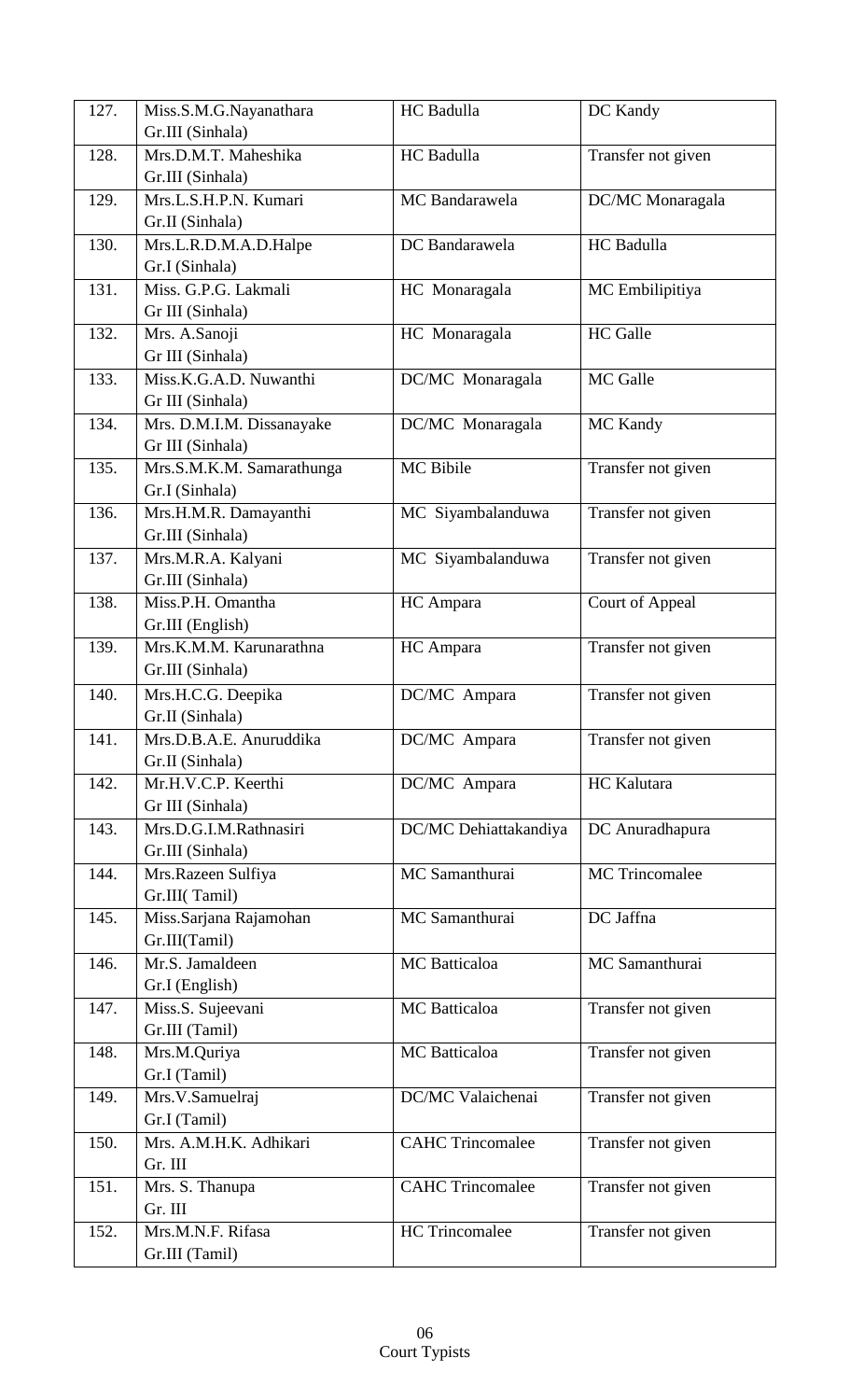| 127. | Miss.S.M.G.Nayanathara    | HC Badulla              | DC Kandy               |
|------|---------------------------|-------------------------|------------------------|
|      | Gr.III (Sinhala)          |                         |                        |
| 128. | Mrs.D.M.T. Maheshika      | HC Badulla              | Transfer not given     |
|      | Gr.III (Sinhala)          |                         |                        |
| 129. | Mrs.L.S.H.P.N. Kumari     | MC Bandarawela          | DC/MC Monaragala       |
|      | Gr.II (Sinhala)           |                         |                        |
| 130. | Mrs.L.R.D.M.A.D.Halpe     | DC Bandarawela          | HC Badulla             |
|      | Gr.I (Sinhala)            |                         |                        |
| 131. | Miss. G.P.G. Lakmali      | HC Monaragala           | MC Embilipitiya        |
|      | Gr III (Sinhala)          |                         |                        |
| 132. | Mrs. A.Sanoji             | HC Monaragala           | <b>HC</b> Galle        |
|      | Gr III (Sinhala)          |                         |                        |
| 133. | Miss.K.G.A.D. Nuwanthi    | DC/MC Monaragala        | MC Galle               |
|      | Gr III (Sinhala)          |                         |                        |
| 134. | Mrs. D.M.I.M. Dissanayake | DC/MC Monaragala        | MC Kandy               |
|      | Gr III (Sinhala)          |                         |                        |
| 135. | Mrs.S.M.K.M. Samarathunga | MC Bibile               | Transfer not given     |
|      | Gr.I (Sinhala)            |                         |                        |
| 136. | Mrs.H.M.R. Damayanthi     | MC Siyambalanduwa       | Transfer not given     |
|      | Gr.III (Sinhala)          |                         |                        |
| 137. | Mrs.M.R.A. Kalyani        | MC Siyambalanduwa       | Transfer not given     |
|      | Gr.III (Sinhala)          |                         |                        |
| 138. | Miss.P.H. Omantha         | HC Ampara               | <b>Court of Appeal</b> |
|      | Gr.III (English)          |                         |                        |
| 139. | Mrs.K.M.M. Karunarathna   | HC Ampara               | Transfer not given     |
|      | Gr.III (Sinhala)          |                         |                        |
| 140. | Mrs.H.C.G. Deepika        | DC/MC Ampara            | Transfer not given     |
|      | Gr.II (Sinhala)           |                         |                        |
| 141. | Mrs.D.B.A.E. Anuruddika   | DC/MC Ampara            | Transfer not given     |
|      | Gr.II (Sinhala)           |                         |                        |
| 142. | Mr.H.V.C.P. Keerthi       | DC/MC Ampara            | HC Kalutara            |
|      | Gr III (Sinhala)          |                         |                        |
| 143. | Mrs.D.G.I.M.Rathnasiri    | DC/MC Dehiattakandiya   | DC Anuradhapura        |
|      | Gr.III (Sinhala)          |                         |                        |
| 144. | Mrs.Razeen Sulfiya        | MC Samanthurai          | <b>MC</b> Trincomalee  |
|      | Gr.III(Tamil)             |                         |                        |
| 145. | Miss.Sarjana Rajamohan    | MC Samanthurai          | DC Jaffna              |
|      | Gr.III(Tamil)             |                         |                        |
| 146. | Mr.S. Jamaldeen           | <b>MC</b> Batticaloa    | MC Samanthurai         |
|      | Gr.I (English)            |                         |                        |
| 147. | Miss.S. Sujeevani         | MC Batticaloa           | Transfer not given     |
|      | Gr.III (Tamil)            |                         |                        |
| 148. | Mrs.M.Quriya              | <b>MC</b> Batticaloa    | Transfer not given     |
|      | Gr.I (Tamil)              |                         |                        |
| 149. | Mrs.V.Samuelraj           | DC/MC Valaichenai       | Transfer not given     |
|      | Gr.I (Tamil)              |                         |                        |
| 150. | Mrs. A.M.H.K. Adhikari    | <b>CAHC Trincomalee</b> | Transfer not given     |
|      | Gr. III                   |                         |                        |
| 151. | Mrs. S. Thanupa           | <b>CAHC Trincomalee</b> | Transfer not given     |
|      | Gr. III                   |                         |                        |
| 152. | Mrs.M.N.F. Rifasa         | <b>HC</b> Trincomalee   | Transfer not given     |
|      | Gr.III (Tamil)            |                         |                        |